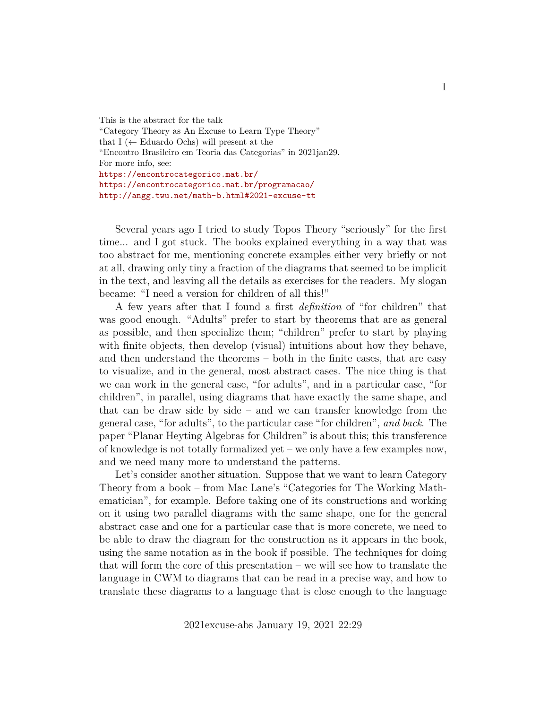This is the abstract for the talk "Category Theory as An Excuse to Learn Type Theory" that I ( $\leftarrow$  Eduardo Ochs) will present at the "Encontro Brasileiro em Teoria das Categorias" in 2021jan29. For more info, see: <https://encontrocategorico.mat.br/> <https://encontrocategorico.mat.br/programacao/> <http://angg.twu.net/math-b.html#2021-excuse-tt>

Several years ago I tried to study Topos Theory "seriously" for the first time... and I got stuck. The books explained everything in a way that was too abstract for me, mentioning concrete examples either very briefly or not at all, drawing only tiny a fraction of the diagrams that seemed to be implicit in the text, and leaving all the details as exercises for the readers. My slogan became: "I need a version for children of all this!"

A few years after that I found a first *definition* of "for children" that was good enough. "Adults" prefer to start by theorems that are as general as possible, and then specialize them; "children" prefer to start by playing with finite objects, then develop (visual) intuitions about how they behave, and then understand the theorems – both in the finite cases, that are easy to visualize, and in the general, most abstract cases. The nice thing is that we can work in the general case, "for adults", and in a particular case, "for children", in parallel, using diagrams that have exactly the same shape, and that can be draw side by side – and we can transfer knowledge from the general case, "for adults", to the particular case "for children", *and back*. The paper "Planar Heyting Algebras for Children" is about this; this transference of knowledge is not totally formalized yet – we only have a few examples now, and we need many more to understand the patterns.

Let's consider another situation. Suppose that we want to learn Category Theory from a book – from Mac Lane's "Categories for The Working Mathematician", for example. Before taking one of its constructions and working on it using two parallel diagrams with the same shape, one for the general abstract case and one for a particular case that is more concrete, we need to be able to draw the diagram for the construction as it appears in the book, using the same notation as in the book if possible. The techniques for doing that will form the core of this presentation – we will see how to translate the language in CWM to diagrams that can be read in a precise way, and how to translate these diagrams to a language that is close enough to the language

2021excuse-abs January 19, 2021 22:29